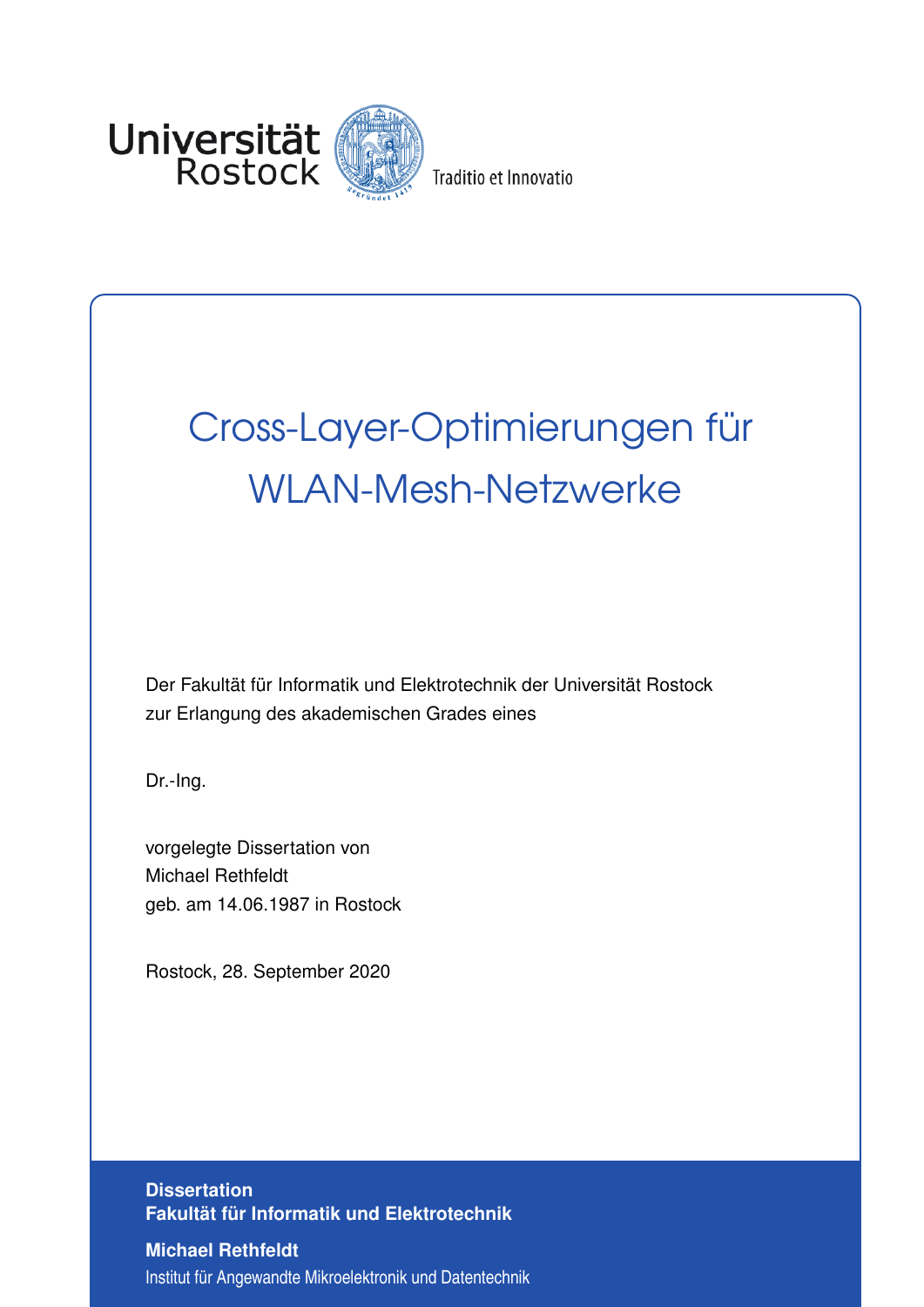

Traditio et Innovatio

## Cross-Layer-Optimierungen für WLAN-Mesh-Netzwerke

Der Fakultät für Informatik und Elektrotechnik der Universität Rostock zur Erlangung des akademischen Grades eines

Dr.-Ing.

vorgelegte Dissertation von Michael Rethfeldt geb. am 14.06.1987 in Rostock

Rostock, 28. September 2020

**Dissertation Fakultät für Informatik und Elektrotechnik**

**Michael Rethfeldt** Institut für Angewandte Mikroelektronik und Datentechnik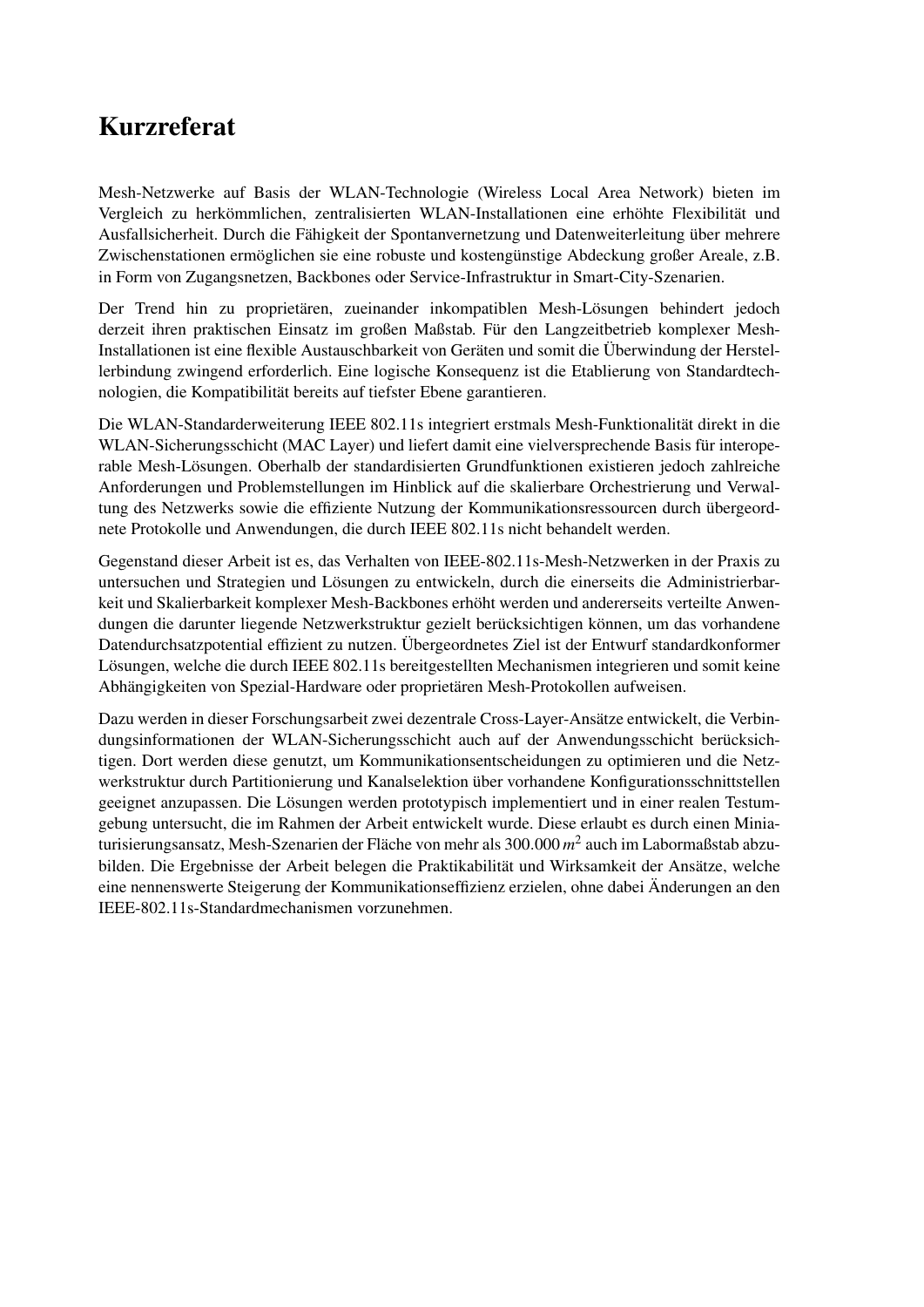## Kurzreferat

Mesh-Netzwerke auf Basis der WLAN-Technologie (Wireless Local Area Network) bieten im Vergleich zu herkömmlichen, zentralisierten WLAN-Installationen eine erhöhte Flexibilität und Ausfallsicherheit. Durch die Fähigkeit der Spontanvernetzung und Datenweiterleitung über mehrere Zwischenstationen ermöglichen sie eine robuste und kostengünstige Abdeckung großer Areale, z.B. in Form von Zugangsnetzen, Backbones oder Service-Infrastruktur in Smart-City-Szenarien.

Der Trend hin zu proprietären, zueinander inkompatiblen Mesh-Lösungen behindert jedoch derzeit ihren praktischen Einsatz im großen Maßstab. Für den Langzeitbetrieb komplexer Mesh-Installationen ist eine flexible Austauschbarkeit von Geräten und somit die Überwindung der Herstellerbindung zwingend erforderlich. Eine logische Konsequenz ist die Etablierung von Standardtechnologien, die Kompatibilität bereits auf tiefster Ebene garantieren.

Die WLAN-Standarderweiterung IEEE 802.11s integriert erstmals Mesh-Funktionalität direkt in die WLAN-Sicherungsschicht (MAC Layer) und liefert damit eine vielversprechende Basis für interoperable Mesh-Lösungen. Oberhalb der standardisierten Grundfunktionen existieren jedoch zahlreiche Anforderungen und Problemstellungen im Hinblick auf die skalierbare Orchestrierung und Verwaltung des Netzwerks sowie die effiziente Nutzung der Kommunikationsressourcen durch übergeordnete Protokolle und Anwendungen, die durch IEEE 802.11s nicht behandelt werden.

Gegenstand dieser Arbeit ist es, das Verhalten von IEEE-802.11s-Mesh-Netzwerken in der Praxis zu untersuchen und Strategien und Lösungen zu entwickeln, durch die einerseits die Administrierbarkeit und Skalierbarkeit komplexer Mesh-Backbones erhöht werden und andererseits verteilte Anwendungen die darunter liegende Netzwerkstruktur gezielt berücksichtigen können, um das vorhandene Datendurchsatzpotential effizient zu nutzen. Übergeordnetes Ziel ist der Entwurf standardkonformer Lösungen, welche die durch IEEE 802.11s bereitgestellten Mechanismen integrieren und somit keine Abhängigkeiten von Spezial-Hardware oder proprietären Mesh-Protokollen aufweisen.

Dazu werden in dieser Forschungsarbeit zwei dezentrale Cross-Layer-Ansätze entwickelt, die Verbindungsinformationen der WLAN-Sicherungsschicht auch auf der Anwendungsschicht berücksichtigen. Dort werden diese genutzt, um Kommunikationsentscheidungen zu optimieren und die Netzwerkstruktur durch Partitionierung und Kanalselektion über vorhandene Konfigurationsschnittstellen geeignet anzupassen. Die Lösungen werden prototypisch implementiert und in einer realen Testumgebung untersucht, die im Rahmen der Arbeit entwickelt wurde. Diese erlaubt es durch einen Miniaturisierungsansatz, Mesh-Szenarien der Fläche von mehr als 300.000 *m* 2 auch im Labormaßstab abzubilden. Die Ergebnisse der Arbeit belegen die Praktikabilität und Wirksamkeit der Ansätze, welche eine nennenswerte Steigerung der Kommunikationseffizienz erzielen, ohne dabei Änderungen an den IEEE-802.11s-Standardmechanismen vorzunehmen.